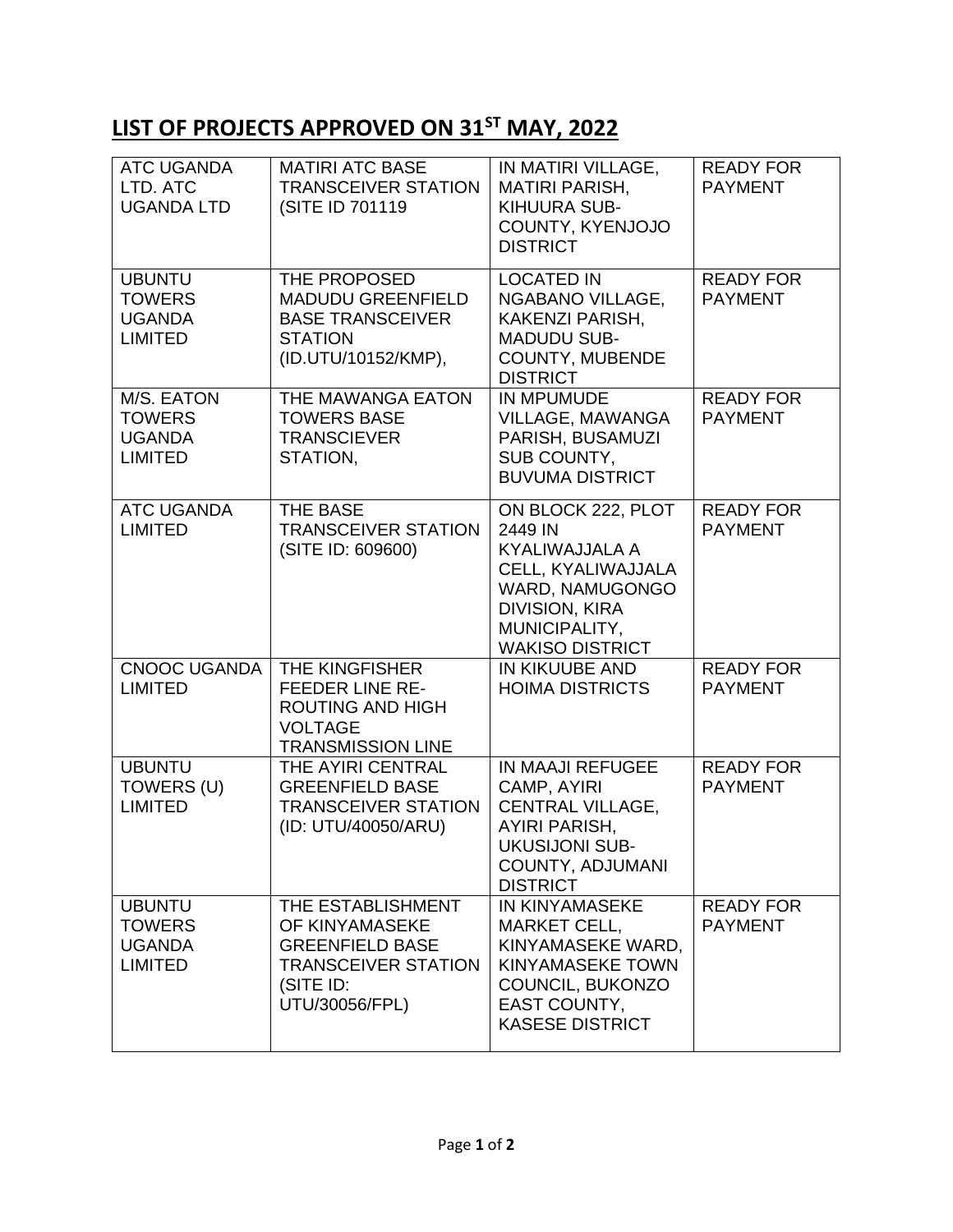## **LIST OF PROJECTS APPROVED ON 31ST MAY, 2022**

| <b>ATC UGANDA</b><br>LTD. ATC<br><b>UGANDA LTD</b>                | <b>MATIRI ATC BASE</b><br><b>TRANSCEIVER STATION</b><br>(SITE ID 701119)                                                   | IN MATIRI VILLAGE,<br><b>MATIRI PARISH,</b><br>KIHUURA SUB-<br>COUNTY, KYENJOJO<br><b>DISTRICT</b>                                                           | <b>READY FOR</b><br><b>PAYMENT</b> |
|-------------------------------------------------------------------|----------------------------------------------------------------------------------------------------------------------------|--------------------------------------------------------------------------------------------------------------------------------------------------------------|------------------------------------|
| <b>UBUNTU</b><br><b>TOWERS</b><br><b>UGANDA</b><br><b>LIMITED</b> | THE PROPOSED<br><b>MADUDU GREENFIELD</b><br><b>BASE TRANSCEIVER</b><br><b>STATION</b><br>(ID.UTU/10152/KMP),               | <b>LOCATED IN</b><br>NGABANO VILLAGE,<br>KAKENZI PARISH,<br><b>MADUDU SUB-</b><br>COUNTY, MUBENDE<br><b>DISTRICT</b>                                         | <b>READY FOR</b><br><b>PAYMENT</b> |
| M/S. EATON<br><b>TOWERS</b><br><b>UGANDA</b><br><b>LIMITED</b>    | THE MAWANGA EATON<br><b>TOWERS BASE</b><br><b>TRANSCIEVER</b><br>STATION,                                                  | <b>IN MPUMUDE</b><br>VILLAGE, MAWANGA<br>PARISH, BUSAMUZI<br>SUB COUNTY,<br><b>BUVUMA DISTRICT</b>                                                           | <b>READY FOR</b><br><b>PAYMENT</b> |
| <b>ATC UGANDA</b><br><b>LIMITED</b>                               | <b>THE BASE</b><br><b>TRANSCEIVER STATION</b><br>(SITE ID: 609600)                                                         | ON BLOCK 222, PLOT<br>2449 IN<br>KYALIWAJJALA A<br>CELL, KYALIWAJJALA<br>WARD, NAMUGONGO<br><b>DIVISION, KIRA</b><br>MUNICIPALITY,<br><b>WAKISO DISTRICT</b> | <b>READY FOR</b><br><b>PAYMENT</b> |
| <b>CNOOC UGANDA</b><br><b>LIMITED</b>                             | <b>THE KINGFISHER</b><br><b>FEEDER LINE RE-</b><br><b>ROUTING AND HIGH</b><br><b>VOLTAGE</b><br><b>TRANSMISSION LINE</b>   | IN KIKUUBE AND<br><b>HOIMA DISTRICTS</b>                                                                                                                     | <b>READY FOR</b><br><b>PAYMENT</b> |
| <b>UBUNTU</b><br>TOWERS (U)<br><b>LIMITED</b>                     | THE AYIRI CENTRAL<br><b>GREENFIELD BASE</b><br><b>TRANSCEIVER STATION</b><br>(ID: UTU/40050/ARU)                           | <b>IN MAAJI REFUGEE</b><br>CAMP, AYIRI<br>CENTRAL VILLAGE,<br><b>AYIRI PARISH.</b><br><b>UKUSIJONI SUB-</b><br>COUNTY, ADJUMANI<br><b>DISTRICT</b>           | <b>READY FOR</b><br><b>PAYMENT</b> |
| <b>UBUNTU</b><br><b>TOWERS</b><br><b>UGANDA</b><br><b>LIMITED</b> | THE ESTABLISHMENT<br>OF KINYAMASEKE<br><b>GREENFIELD BASE</b><br><b>TRANSCEIVER STATION</b><br>(SITE ID:<br>UTU/30056/FPL) | <b>IN KINYAMASEKE</b><br><b>MARKET CELL,</b><br>KINYAMASEKE WARD,<br><b>KINYAMASEKE TOWN</b><br>COUNCIL, BUKONZO<br>EAST COUNTY,<br><b>KASESE DISTRICT</b>   | <b>READY FOR</b><br><b>PAYMENT</b> |